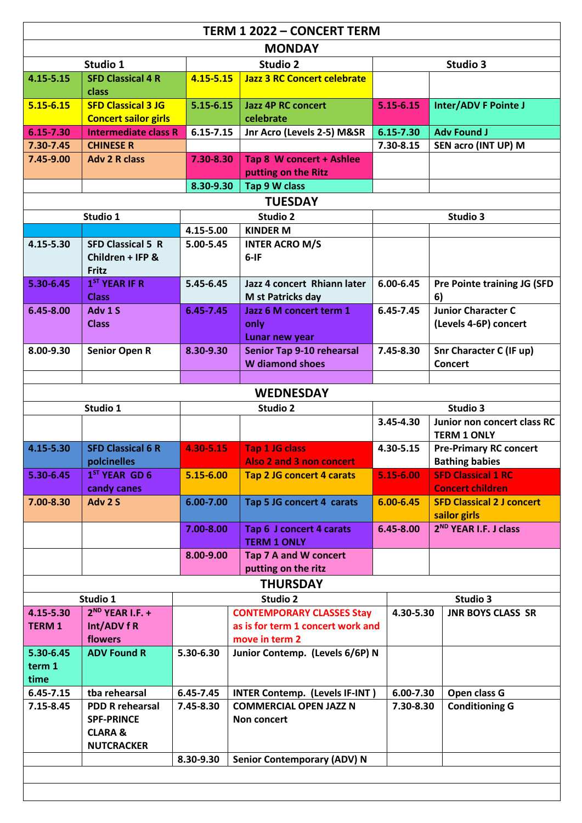| <b>TERM 1 2022 - CONCERT TERM</b> |                                                          |               |                                                            |               |                                                      |  |  |  |  |
|-----------------------------------|----------------------------------------------------------|---------------|------------------------------------------------------------|---------------|------------------------------------------------------|--|--|--|--|
| <b>MONDAY</b>                     |                                                          |               |                                                            |               |                                                      |  |  |  |  |
| Studio 1                          |                                                          | Studio 2      |                                                            | Studio 3      |                                                      |  |  |  |  |
| 4.15-5.15                         | <b>SFD Classical 4 R</b>                                 | $4.15 - 5.15$ | <b>Jazz 3 RC Concert celebrate</b>                         |               |                                                      |  |  |  |  |
|                                   | class                                                    |               |                                                            |               |                                                      |  |  |  |  |
| $5.15 - 6.15$                     | <b>SFD Classical 3 JG</b><br><b>Concert sailor girls</b> | $5.15 - 6.15$ | <b>Jazz 4P RC concert</b><br>celebrate                     | 5.15-6.15     | Inter/ADV F Pointe J                                 |  |  |  |  |
| 6.15-7.30                         | <b>Intermediate class R</b>                              | $6.15 - 7.15$ | Jnr Acro (Levels 2-5) M&SR                                 | 6.15-7.30     | <b>Adv Found J</b>                                   |  |  |  |  |
| 7.30-7.45                         | <b>CHINESE R</b>                                         |               |                                                            | 7.30-8.15     | SEN acro (INT UP) M                                  |  |  |  |  |
| 7.45-9.00                         | <b>Adv 2 R class</b>                                     | 7.30-8.30     | Tap 8 W concert + Ashlee                                   |               |                                                      |  |  |  |  |
|                                   |                                                          |               | putting on the Ritz                                        |               |                                                      |  |  |  |  |
| Tap 9 W class<br>8.30-9.30        |                                                          |               |                                                            |               |                                                      |  |  |  |  |
| <b>TUESDAY</b>                    |                                                          |               |                                                            |               |                                                      |  |  |  |  |
| Studio 1                          |                                                          | Studio 2      |                                                            | Studio 3      |                                                      |  |  |  |  |
|                                   |                                                          | 4.15-5.00     | <b>KINDER M</b>                                            |               |                                                      |  |  |  |  |
| 4.15-5.30                         | <b>SFD Classical 5 R</b><br>Children + IFP &             | 5.00-5.45     | <b>INTER ACRO M/S</b><br>$6-IF$                            |               |                                                      |  |  |  |  |
|                                   | Fritz                                                    |               |                                                            |               |                                                      |  |  |  |  |
| 5.30-6.45                         | 1 <sup>ST</sup> YEAR IF R                                | 5.45-6.45     | Jazz 4 concert Rhiann later                                | 6.00-6.45     | Pre Pointe training JG (SFD                          |  |  |  |  |
|                                   | <b>Class</b>                                             |               | M st Patricks day                                          |               | 6)                                                   |  |  |  |  |
| 6.45-8.00                         | Adv 1 S                                                  | 6.45-7.45     | Jazz 6 M concert term 1                                    | 6.45-7.45     | <b>Junior Character C</b>                            |  |  |  |  |
|                                   | <b>Class</b>                                             |               | only                                                       |               | (Levels 4-6P) concert                                |  |  |  |  |
|                                   |                                                          |               | Lunar new year                                             |               |                                                      |  |  |  |  |
| 8.00-9.30                         | <b>Senior Open R</b>                                     | 8.30-9.30     | <b>Senior Tap 9-10 rehearsal</b><br><b>W</b> diamond shoes | 7.45-8.30     | <b>Snr Character C (IF up)</b><br><b>Concert</b>     |  |  |  |  |
|                                   |                                                          |               |                                                            |               |                                                      |  |  |  |  |
|                                   |                                                          |               | <b>WEDNESDAY</b>                                           |               |                                                      |  |  |  |  |
|                                   | Studio 1                                                 |               | <b>Studio 2</b>                                            |               | Studio 3                                             |  |  |  |  |
|                                   |                                                          |               |                                                            | 3.45-4.30     | Junior non concert class RC                          |  |  |  |  |
|                                   |                                                          |               |                                                            |               | <b>TERM 1 ONLY</b>                                   |  |  |  |  |
| 4.15-5.30                         | <b>SFD Classical 6 R</b>                                 | 4.30-5.15     | <b>Tap 1 JG class</b>                                      | 4.30-5.15     | <b>Pre-Primary RC concert</b>                        |  |  |  |  |
|                                   | polcinelles                                              |               | Also 2 and 3 non concert                                   |               | <b>Bathing babies</b>                                |  |  |  |  |
| 5.30-6.45                         | 1 <sup>ST</sup> YEAR GD 6<br>candy canes                 | 5.15-6.00     | <b>Tap 2 JG concert 4 carats</b>                           | 5.15-6.00     | <b>SFD Classical 1 RC</b><br><b>Concert children</b> |  |  |  |  |
| 7.00-8.30                         | Adv 2 S                                                  | $6.00 - 7.00$ | Tap 5 JG concert 4 carats                                  | $6.00 - 6.45$ | <b>SFD Classical 2 J concert</b>                     |  |  |  |  |
|                                   |                                                          |               |                                                            |               | sailor girls                                         |  |  |  |  |
|                                   |                                                          | 7.00-8.00     | Tap 6 J concert 4 carats<br><b>TERM 1 ONLY</b>             | 6.45-8.00     | 2 <sup>ND</sup> YEAR I.F. J class                    |  |  |  |  |
|                                   |                                                          | 8.00-9.00     | Tap 7 A and W concert                                      |               |                                                      |  |  |  |  |
|                                   |                                                          |               | putting on the ritz                                        |               |                                                      |  |  |  |  |
| <b>THURSDAY</b>                   |                                                          |               |                                                            |               |                                                      |  |  |  |  |
|                                   | Studio 1                                                 |               | <b>Studio 2</b>                                            |               | Studio 3                                             |  |  |  |  |
| 4.15-5.30                         | $2^{ND}$ YEAR I.F. +                                     |               | <b>CONTEMPORARY CLASSES Stay</b>                           | 4.30-5.30     | <b>JNR BOYS CLASS SR</b>                             |  |  |  |  |
| <b>TERM 1</b>                     | Int/ADV f R                                              |               | as is for term 1 concert work and                          |               |                                                      |  |  |  |  |
|                                   | flowers                                                  |               | move in term 2                                             |               |                                                      |  |  |  |  |
| 5.30-6.45<br>term 1               | <b>ADV Found R</b>                                       | 5.30-6.30     | Junior Contemp. (Levels 6/6P) N                            |               |                                                      |  |  |  |  |
| time                              |                                                          |               |                                                            |               |                                                      |  |  |  |  |
| 6.45-7.15                         | tba rehearsal                                            | 6.45-7.45     | <b>INTER Contemp. (Levels IF-INT)</b>                      | 6.00-7.30     | Open class G                                         |  |  |  |  |
| 7.15-8.45                         | <b>PDD R rehearsal</b>                                   | 7.45-8.30     | <b>COMMERCIAL OPEN JAZZ N</b>                              | 7.30-8.30     | <b>Conditioning G</b>                                |  |  |  |  |
|                                   | <b>SPF-PRINCE</b>                                        |               | Non concert                                                |               |                                                      |  |  |  |  |
|                                   | <b>CLARA &amp;</b>                                       |               |                                                            |               |                                                      |  |  |  |  |
|                                   | <b>NUTCRACKER</b>                                        | 8.30-9.30     |                                                            |               |                                                      |  |  |  |  |
|                                   |                                                          |               | <b>Senior Contemporary (ADV) N</b>                         |               |                                                      |  |  |  |  |
|                                   |                                                          |               |                                                            |               |                                                      |  |  |  |  |
|                                   |                                                          |               |                                                            |               |                                                      |  |  |  |  |